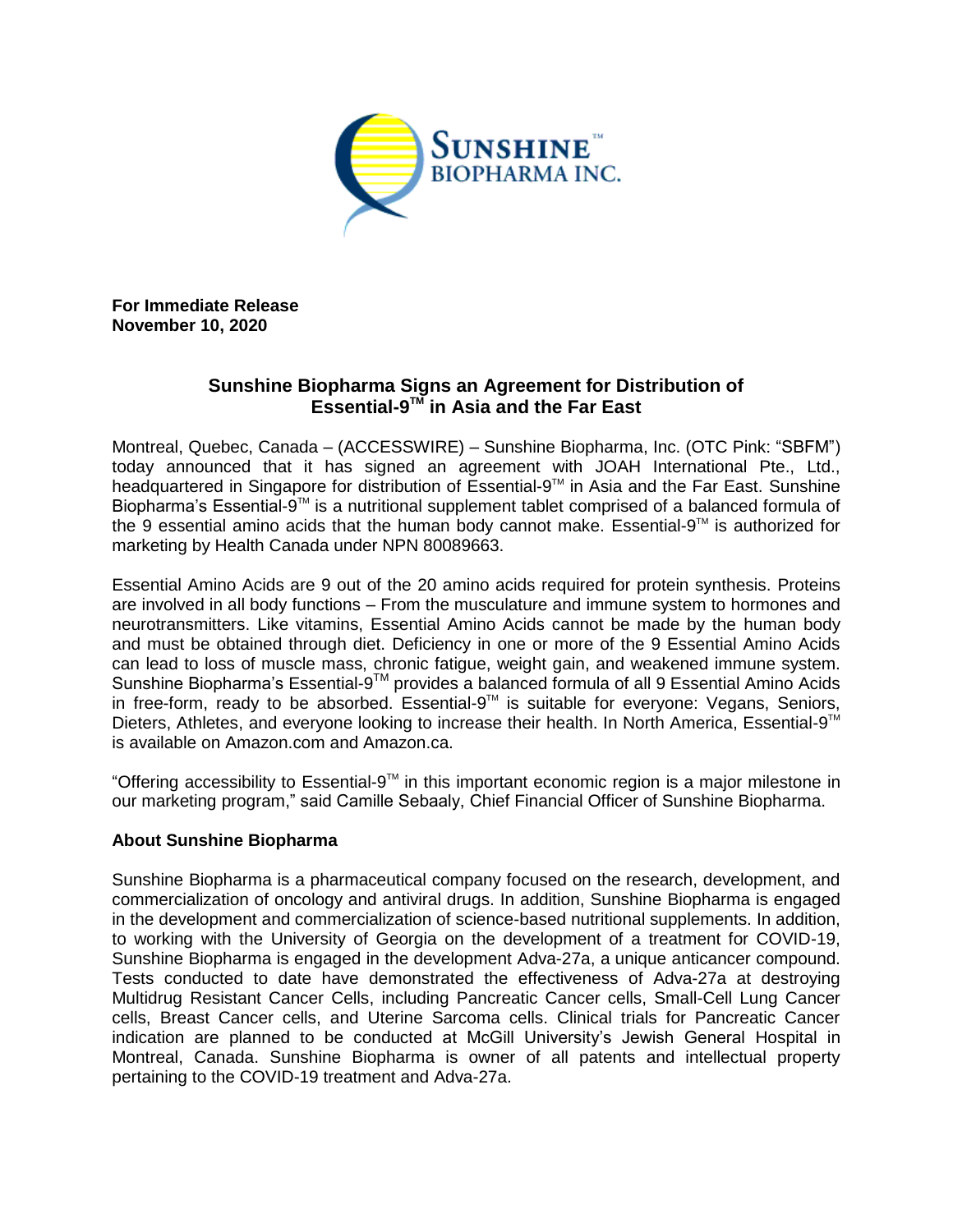

**For Immediate Release November 10, 2020**

## **Sunshine Biopharma Signs an Agreement for Distribution of Essential-9 TM in Asia and the Far East**

Montreal, Quebec, Canada – (ACCESSWIRE) – Sunshine Biopharma, Inc. (OTC Pink: "SBFM") today announced that it has signed an agreement with JOAH International Pte., Ltd., headquartered in Singapore for distribution of Essential-9<sup>™</sup> in Asia and the Far East. Sunshine Biopharma's Essential-9™ is a nutritional supplement tablet comprised of a balanced formula of the 9 essential amino acids that the human body cannot make. Essential-9™ is authorized for marketing by Health Canada under NPN 80089663.

Essential Amino Acids are 9 out of the 20 amino acids required for protein synthesis. Proteins are involved in all body functions – From the musculature and immune system to hormones and neurotransmitters. Like vitamins, Essential Amino Acids cannot be made by the human body and must be obtained through diet. Deficiency in one or more of the 9 Essential Amino Acids can lead to loss of muscle mass, chronic fatigue, weight gain, and weakened immune system. Sunshine Biopharma's Essential-9™ provides a balanced formula of all 9 Essential Amino Acids in free-form, ready to be absorbed. Essential-9<sup>™</sup> is suitable for everyone: Vegans, Seniors, Dieters, Athletes, and everyone looking to increase their health. In North America, Essential-9<sup>™</sup> is available on Amazon.com and Amazon.ca.

"Offering accessibility to Essential-9™ in this important economic region is a major milestone in our marketing program," said Camille Sebaaly, Chief Financial Officer of Sunshine Biopharma.

## **About Sunshine Biopharma**

Sunshine Biopharma is a pharmaceutical company focused on the research, development, and commercialization of oncology and antiviral drugs. In addition, Sunshine Biopharma is engaged in the development and commercialization of science-based nutritional supplements. In addition, to working with the University of Georgia on the development of a treatment for COVID-19, Sunshine Biopharma is engaged in the development Adva-27a, a unique anticancer compound. Tests conducted to date have demonstrated the effectiveness of Adva-27a at destroying Multidrug Resistant Cancer Cells, including Pancreatic Cancer cells, Small-Cell Lung Cancer cells, Breast Cancer cells, and Uterine Sarcoma cells. Clinical trials for Pancreatic Cancer indication are planned to be conducted at McGill University's Jewish General Hospital in Montreal, Canada. Sunshine Biopharma is owner of all patents and intellectual property pertaining to the COVID-19 treatment and Adva-27a.